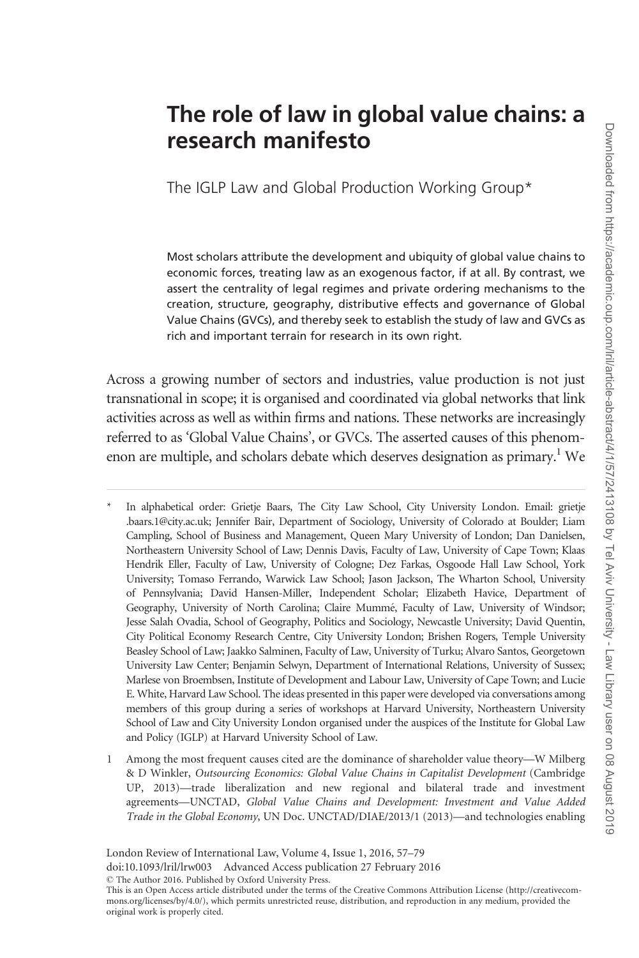# The role of law in global value chains: a research manifesto

The IGLP Law and Global Production Working Group\*

Most scholars attribute the development and ubiquity of global value chains to economic forces, treating law as an exogenous factor, if at all. By contrast, we assert the centrality of legal regimes and private ordering mechanisms to the creation, structure, geography, distributive effects and governance of Global Value Chains (GVCs), and thereby seek to establish the study of law and GVCs as rich and important terrain for research in its own right.

Across a growing number of sectors and industries, value production is not just transnational in scope; it is organised and coordinated via global networks that link activities across as well as within firms and nations. These networks are increasingly referred to as 'Global Value Chains', or GVCs. The asserted causes of this phenomenon are multiple, and scholars debate which deserves designation as primary.<sup>1</sup> We

In alphabetical order: Grietje Baars, The City Law School, City University London. Email: grietje .baars.1@city.ac.uk; Jennifer Bair, Department of Sociology, University of Colorado at Boulder; Liam Campling, School of Business and Management, Queen Mary University of London; Dan Danielsen, Northeastern University School of Law; Dennis Davis, Faculty of Law, University of Cape Town; Klaas Hendrik Eller, Faculty of Law, University of Cologne; Dez Farkas, Osgoode Hall Law School, York University; Tomaso Ferrando, Warwick Law School; Jason Jackson, The Wharton School, University of Pennsylvania; David Hansen-Miller, Independent Scholar; Elizabeth Havice, Department of Geography, University of North Carolina; Claire Mummé, Faculty of Law, University of Windsor; Jesse Salah Ovadia, School of Geography, Politics and Sociology, Newcastle University; David Quentin, City Political Economy Research Centre, City University London; Brishen Rogers, Temple University Beasley School of Law; Jaakko Salminen, Faculty of Law, University of Turku; Alvaro Santos, Georgetown University Law Center; Benjamin Selwyn, Department of International Relations, University of Sussex; Marlese von Broembsen, Institute of Development and Labour Law, University of Cape Town; and Lucie E. White, Harvard Law School. The ideas presented in this paper were developed via conversations among members of this group during a series of workshops at Harvard University, Northeastern University School of Law and City University London organised under the auspices of the Institute for Global Law and Policy (IGLP) at Harvard University School of Law.

<sup>1</sup> Among the most frequent causes cited are the dominance of shareholder value theory—W Milberg & D Winkler, Outsourcing Economics: Global Value Chains in Capitalist Development (Cambridge UP, 2013)—trade liberalization and new regional and bilateral trade and investment agreements—UNCTAD, Global Value Chains and Development: Investment and Value Added Trade in the Global Economy, UN Doc. UNCTAD/DIAE/2013/1 (2013)—and technologies enabling

London Review of International Law, Volume 4, Issue 1, 2016, 57–79

doi:10.1093/lril/lrw003 Advanced Access publication 27 February 2016 - The Author 2016. Published by Oxford University Press.

This is an Open Access article distributed under the terms of the Creative Commons Attribution License ([http://creativecom](http://creativecommons.org/licenses/by/4.0/)[mons.org/licenses/by/4.0/](http://creativecommons.org/licenses/by/4.0/)), which permits unrestricted reuse, distribution, and reproduction in any medium, provided the original work is properly cited.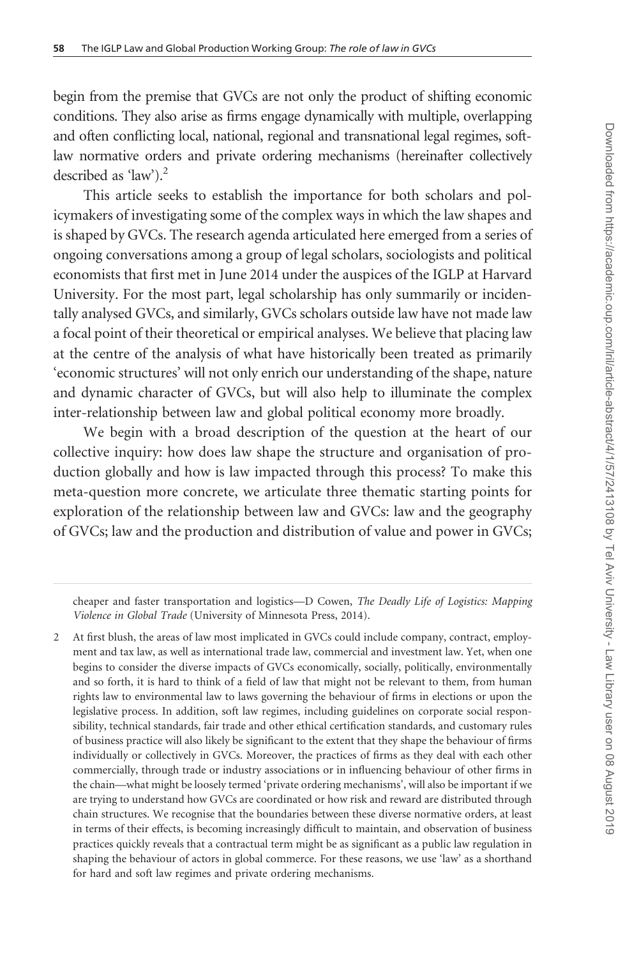begin from the premise that GVCs are not only the product of shifting economic conditions. They also arise as firms engage dynamically with multiple, overlapping and often conflicting local, national, regional and transnational legal regimes, softlaw normative orders and private ordering mechanisms (hereinafter collectively described as 'law').<sup>2</sup>

This article seeks to establish the importance for both scholars and policymakers of investigating some of the complex ways in which the law shapes and is shaped by GVCs. The research agenda articulated here emerged from a series of ongoing conversations among a group of legal scholars, sociologists and political economists that first met in June 2014 under the auspices of the IGLP at Harvard University. For the most part, legal scholarship has only summarily or incidentally analysed GVCs, and similarly, GVCs scholars outside law have not made law a focal point of their theoretical or empirical analyses. We believe that placing law at the centre of the analysis of what have historically been treated as primarily 'economic structures' will not only enrich our understanding of the shape, nature and dynamic character of GVCs, but will also help to illuminate the complex inter-relationship between law and global political economy more broadly.

We begin with a broad description of the question at the heart of our collective inquiry: how does law shape the structure and organisation of production globally and how is law impacted through this process? To make this meta-question more concrete, we articulate three thematic starting points for exploration of the relationship between law and GVCs: law and the geography of GVCs; law and the production and distribution of value and power in GVCs;

cheaper and faster transportation and logistics—D Cowen, The Deadly Life of Logistics: Mapping Violence in Global Trade (University of Minnesota Press, 2014).

<sup>2</sup> At first blush, the areas of law most implicated in GVCs could include company, contract, employment and tax law, as well as international trade law, commercial and investment law. Yet, when one begins to consider the diverse impacts of GVCs economically, socially, politically, environmentally and so forth, it is hard to think of a field of law that might not be relevant to them, from human rights law to environmental law to laws governing the behaviour of firms in elections or upon the legislative process. In addition, soft law regimes, including guidelines on corporate social responsibility, technical standards, fair trade and other ethical certification standards, and customary rules of business practice will also likely be significant to the extent that they shape the behaviour of firms individually or collectively in GVCs. Moreover, the practices of firms as they deal with each other commercially, through trade or industry associations or in influencing behaviour of other firms in the chain—what might be loosely termed 'private ordering mechanisms', will also be important if we are trying to understand how GVCs are coordinated or how risk and reward are distributed through chain structures. We recognise that the boundaries between these diverse normative orders, at least in terms of their effects, is becoming increasingly difficult to maintain, and observation of business practices quickly reveals that a contractual term might be as significant as a public law regulation in shaping the behaviour of actors in global commerce. For these reasons, we use 'law' as a shorthand for hard and soft law regimes and private ordering mechanisms.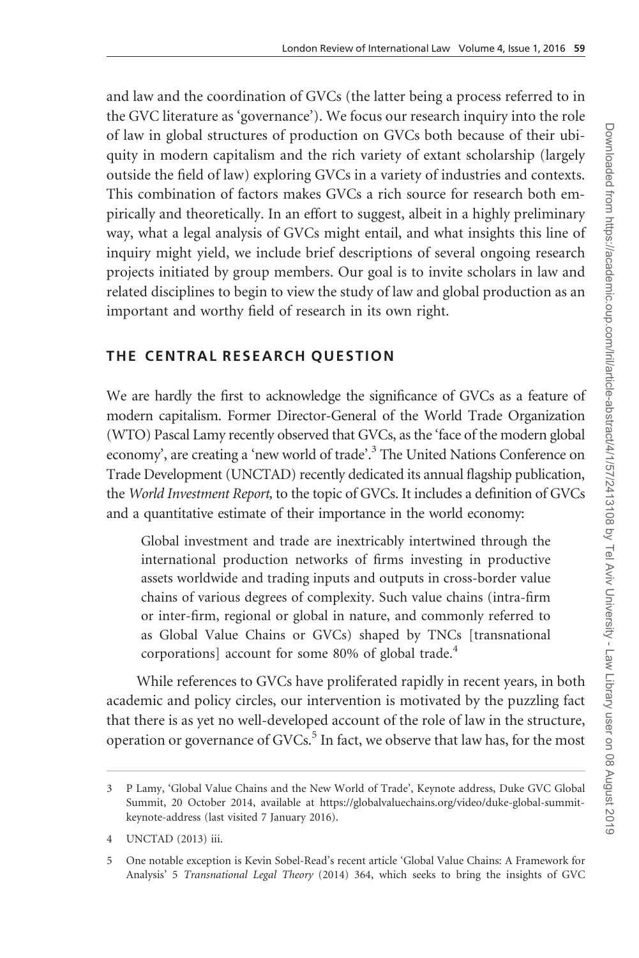and law and the coordination of GVCs (the latter being a process referred to in the GVC literature as 'governance'). We focus our research inquiry into the role of law in global structures of production on GVCs both because of their ubiquity in modern capitalism and the rich variety of extant scholarship (largely outside the field of law) exploring GVCs in a variety of industries and contexts. This combination of factors makes GVCs a rich source for research both empirically and theoretically. In an effort to suggest, albeit in a highly preliminary way, what a legal analysis of GVCs might entail, and what insights this line of inquiry might yield, we include brief descriptions of several ongoing research projects initiated by group members. Our goal is to invite scholars in law and related disciplines to begin to view the study of law and global production as an important and worthy field of research in its own right.

## THE CENTRAL RESEARCH QUESTION

We are hardly the first to acknowledge the significance of GVCs as a feature of modern capitalism. Former Director-General of the World Trade Organization (WTO) Pascal Lamy recently observed that GVCs, as the 'face of the modern global economy', are creating a 'new world of trade'.<sup>3</sup> The United Nations Conference on Trade Development (UNCTAD) recently dedicated its annual flagship publication, the World Investment Report, to the topic of GVCs. It includes a definition of GVCs and a quantitative estimate of their importance in the world economy:

Global investment and trade are inextricably intertwined through the international production networks of firms investing in productive assets worldwide and trading inputs and outputs in cross-border value chains of various degrees of complexity. Such value chains (intra-firm or inter-firm, regional or global in nature, and commonly referred to as Global Value Chains or GVCs) shaped by TNCs [transnational corporations] account for some 80% of global trade.<sup>4</sup>

While references to GVCs have proliferated rapidly in recent years, in both academic and policy circles, our intervention is motivated by the puzzling fact that there is as yet no well-developed account of the role of law in the structure, operation or governance of  $\text{GVCs}^5$  In fact, we observe that law has, for the most

<sup>3</sup> P Lamy, 'Global Value Chains and the New World of Trade', Keynote address, Duke GVC Global Summit, 20 October 2014, available at [https://globalvaluechains.org/video/duke-global-summit](https://globalvaluechains.org/video/duke-global-summit-keynote-address)[keynote-address](https://globalvaluechains.org/video/duke-global-summit-keynote-address) (last visited 7 January 2016).

<sup>4</sup> UNCTAD (2013) iii.

<sup>5</sup> One notable exception is Kevin Sobel-Read's recent article 'Global Value Chains: A Framework for Analysis' 5 Transnational Legal Theory (2014) 364, which seeks to bring the insights of GVC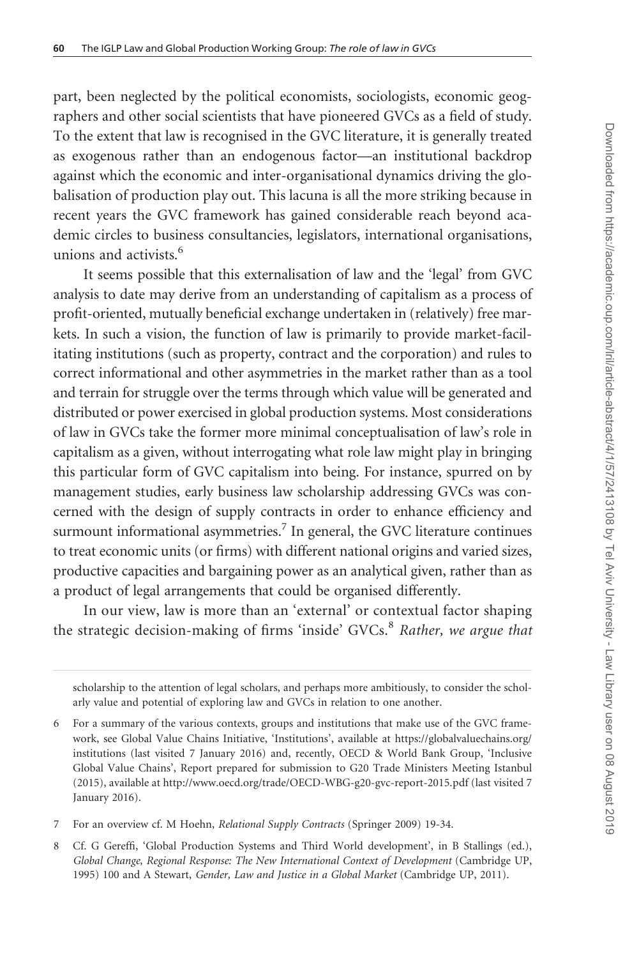part, been neglected by the political economists, sociologists, economic geographers and other social scientists that have pioneered GVCs as a field of study. To the extent that law is recognised in the GVC literature, it is generally treated as exogenous rather than an endogenous factor—an institutional backdrop against which the economic and inter-organisational dynamics driving the globalisation of production play out. This lacuna is all the more striking because in recent years the GVC framework has gained considerable reach beyond academic circles to business consultancies, legislators, international organisations, unions and activists.<sup>6</sup>

It seems possible that this externalisation of law and the 'legal' from GVC analysis to date may derive from an understanding of capitalism as a process of profit-oriented, mutually beneficial exchange undertaken in (relatively) free markets. In such a vision, the function of law is primarily to provide market-facilitating institutions (such as property, contract and the corporation) and rules to correct informational and other asymmetries in the market rather than as a tool and terrain for struggle over the terms through which value will be generated and distributed or power exercised in global production systems. Most considerations of law in GVCs take the former more minimal conceptualisation of law's role in capitalism as a given, without interrogating what role law might play in bringing this particular form of GVC capitalism into being. For instance, spurred on by management studies, early business law scholarship addressing GVCs was concerned with the design of supply contracts in order to enhance efficiency and surmount informational asymmetries.<sup>7</sup> In general, the GVC literature continues to treat economic units (or firms) with different national origins and varied sizes, productive capacities and bargaining power as an analytical given, rather than as a product of legal arrangements that could be organised differently.

In our view, law is more than an 'external' or contextual factor shaping the strategic decision-making of firms 'inside' GVCs.<sup>8</sup> Rather, we argue that

7 For an overview cf. M Hoehn, Relational Supply Contracts (Springer 2009) 19-34.

scholarship to the attention of legal scholars, and perhaps more ambitiously, to consider the scholarly value and potential of exploring law and GVCs in relation to one another.

<sup>6</sup> For a summary of the various contexts, groups and institutions that make use of the GVC framework, see Global Value Chains Initiative, 'Institutions', available at [https://globalvaluechains.org/](https://globalvaluechains.org/institutions) [institutions](https://globalvaluechains.org/institutions) (last visited 7 January 2016) and, recently, OECD & World Bank Group, 'Inclusive Global Value Chains', Report prepared for submission to G20 Trade Ministers Meeting Istanbul (2015), available at<http://www.oecd.org/trade/OECD-WBG-g20-gvc-report-2015.pdf> (last visited 7 January 2016).

<sup>8</sup> Cf. G Gereffi, 'Global Production Systems and Third World development', in B Stallings (ed.), Global Change, Regional Response: The New International Context of Development (Cambridge UP, 1995) 100 and A Stewart, Gender, Law and Justice in a Global Market (Cambridge UP, 2011).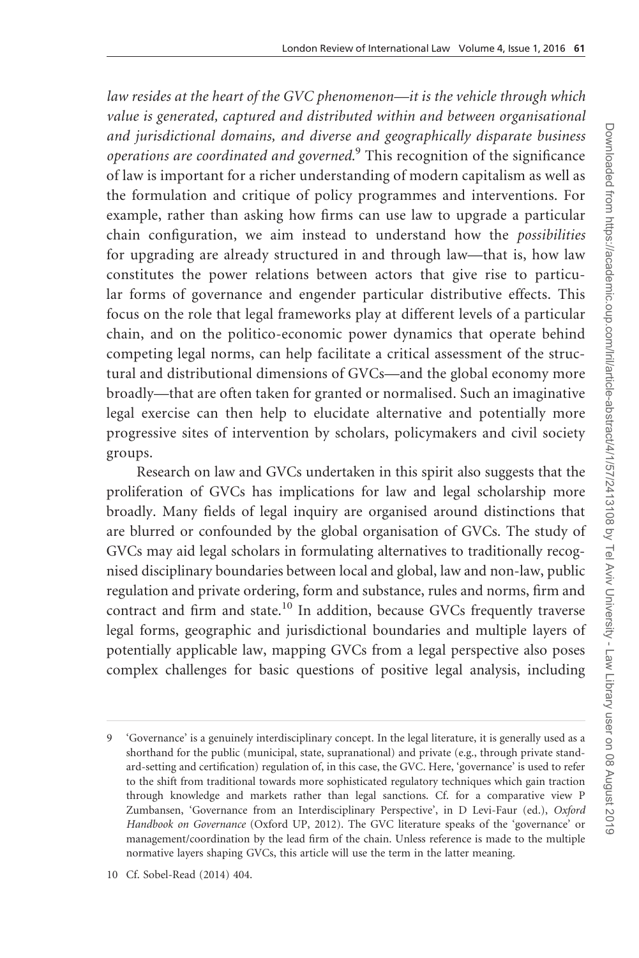law resides at the heart of the GVC phenomenon—it is the vehicle through which value is generated, captured and distributed within and between organisational and jurisdictional domains, and diverse and geographically disparate business operations are coordinated and governed.<sup>9</sup> This recognition of the significance of law is important for a richer understanding of modern capitalism as well as the formulation and critique of policy programmes and interventions. For example, rather than asking how firms can use law to upgrade a particular chain configuration, we aim instead to understand how the possibilities for upgrading are already structured in and through law—that is, how law constitutes the power relations between actors that give rise to particular forms of governance and engender particular distributive effects. This focus on the role that legal frameworks play at different levels of a particular chain, and on the politico-economic power dynamics that operate behind competing legal norms, can help facilitate a critical assessment of the structural and distributional dimensions of GVCs—and the global economy more broadly—that are often taken for granted or normalised. Such an imaginative legal exercise can then help to elucidate alternative and potentially more progressive sites of intervention by scholars, policymakers and civil society groups.

Research on law and GVCs undertaken in this spirit also suggests that the proliferation of GVCs has implications for law and legal scholarship more broadly. Many fields of legal inquiry are organised around distinctions that are blurred or confounded by the global organisation of GVCs. The study of GVCs may aid legal scholars in formulating alternatives to traditionally recognised disciplinary boundaries between local and global, law and non-law, public regulation and private ordering, form and substance, rules and norms, firm and contract and firm and state.<sup>10</sup> In addition, because GVCs frequently traverse legal forms, geographic and jurisdictional boundaries and multiple layers of potentially applicable law, mapping GVCs from a legal perspective also poses complex challenges for basic questions of positive legal analysis, including

<sup>9 &#</sup>x27;Governance' is a genuinely interdisciplinary concept. In the legal literature, it is generally used as a shorthand for the public (municipal, state, supranational) and private (e.g., through private standard-setting and certification) regulation of, in this case, the GVC. Here, 'governance' is used to refer to the shift from traditional towards more sophisticated regulatory techniques which gain traction through knowledge and markets rather than legal sanctions. Cf. for a comparative view P Zumbansen, 'Governance from an Interdisciplinary Perspective', in D Levi-Faur (ed.), Oxford Handbook on Governance (Oxford UP, 2012). The GVC literature speaks of the 'governance' or management/coordination by the lead firm of the chain. Unless reference is made to the multiple normative layers shaping GVCs, this article will use the term in the latter meaning.

<sup>10</sup> Cf. Sobel-Read (2014) 404.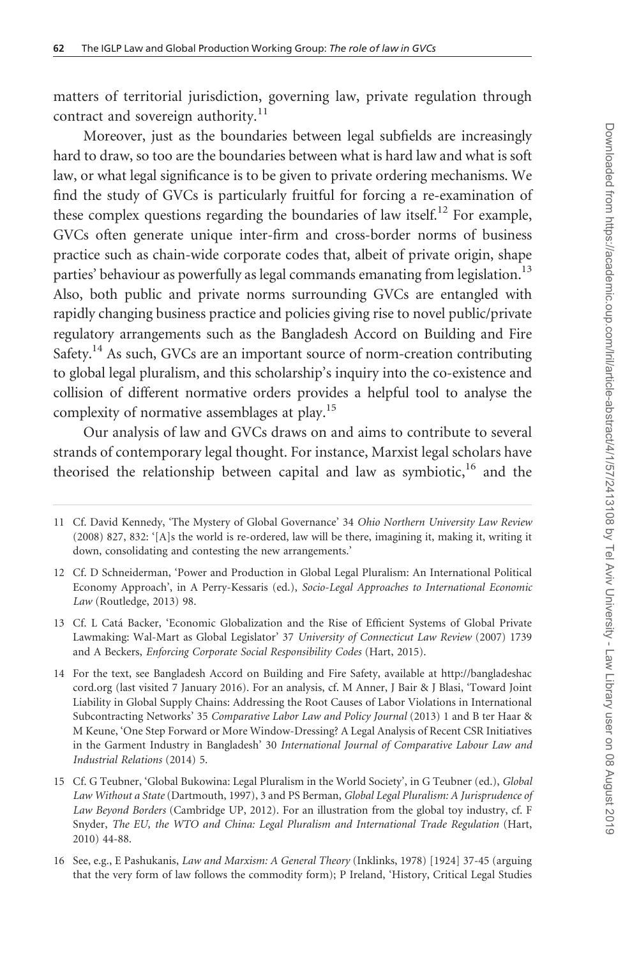matters of territorial jurisdiction, governing law, private regulation through contract and sovereign authority. $11$ 

Moreover, just as the boundaries between legal subfields are increasingly hard to draw, so too are the boundaries between what is hard law and what is soft law, or what legal significance is to be given to private ordering mechanisms. We find the study of GVCs is particularly fruitful for forcing a re-examination of these complex questions regarding the boundaries of law itself.<sup>12</sup> For example, GVCs often generate unique inter-firm and cross-border norms of business practice such as chain-wide corporate codes that, albeit of private origin, shape parties' behaviour as powerfully as legal commands emanating from legislation.<sup>13</sup> Also, both public and private norms surrounding GVCs are entangled with rapidly changing business practice and policies giving rise to novel public/private regulatory arrangements such as the Bangladesh Accord on Building and Fire Safety.<sup>14</sup> As such, GVCs are an important source of norm-creation contributing to global legal pluralism, and this scholarship's inquiry into the co-existence and collision of different normative orders provides a helpful tool to analyse the complexity of normative assemblages at play.15

Our analysis of law and GVCs draws on and aims to contribute to several strands of contemporary legal thought. For instance, Marxist legal scholars have theorised the relationship between capital and law as symbiotic, $16$  and the

16 See, e.g., E Pashukanis, Law and Marxism: A General Theory (Inklinks, 1978) [1924] 37-45 (arguing that the very form of law follows the commodity form); P Ireland, 'History, Critical Legal Studies

<sup>11</sup> Cf. David Kennedy, 'The Mystery of Global Governance' 34 Ohio Northern University Law Review (2008) 827, 832: '[A]s the world is re-ordered, law will be there, imagining it, making it, writing it down, consolidating and contesting the new arrangements.'

<sup>12</sup> Cf. D Schneiderman, 'Power and Production in Global Legal Pluralism: An International Political Economy Approach', in A Perry-Kessaris (ed.), Socio-Legal Approaches to International Economic Law (Routledge, 2013) 98.

<sup>13</sup> Cf. L Cata´ Backer, 'Economic Globalization and the Rise of Efficient Systems of Global Private Lawmaking: Wal-Mart as Global Legislator' 37 University of Connecticut Law Review (2007) 1739 and A Beckers, Enforcing Corporate Social Responsibility Codes (Hart, 2015).

<sup>14</sup> For the text, see Bangladesh Accord on Building and Fire Safety, available at [http://bangladeshac](http://bangladeshaccord.org) [cord.org](http://bangladeshaccord.org) (last visited 7 January 2016). For an analysis, cf. M Anner, J Bair & J Blasi, 'Toward Joint Liability in Global Supply Chains: Addressing the Root Causes of Labor Violations in International Subcontracting Networks' 35 Comparative Labor Law and Policy Journal (2013) 1 and B ter Haar & M Keune, 'One Step Forward or More Window-Dressing? A Legal Analysis of Recent CSR Initiatives in the Garment Industry in Bangladesh' 30 International Journal of Comparative Labour Law and Industrial Relations (2014) 5.

<sup>15</sup> Cf. G Teubner, 'Global Bukowina: Legal Pluralism in the World Society', in G Teubner (ed.), Global Law Without a State (Dartmouth, 1997), 3 and PS Berman, Global Legal Pluralism: A Jurisprudence of Law Beyond Borders (Cambridge UP, 2012). For an illustration from the global toy industry, cf. F Snyder, The EU, the WTO and China: Legal Pluralism and International Trade Regulation (Hart, 2010) 44-88.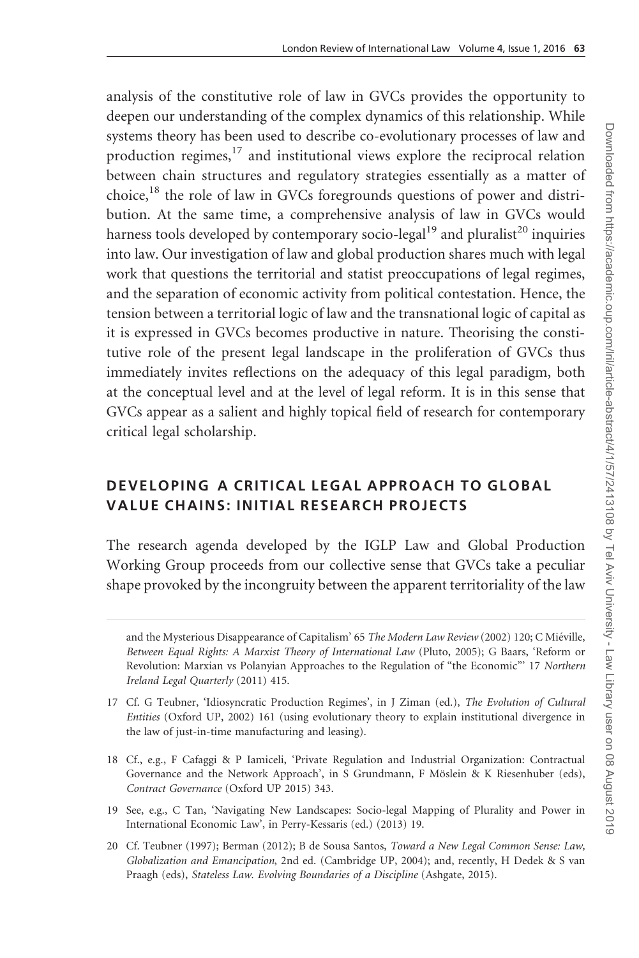analysis of the constitutive role of law in GVCs provides the opportunity to deepen our understanding of the complex dynamics of this relationship. While systems theory has been used to describe co-evolutionary processes of law and production regimes, $^{17}$  and institutional views explore the reciprocal relation between chain structures and regulatory strategies essentially as a matter of choice, $^{18}$  the role of law in GVCs foregrounds questions of power and distribution. At the same time, a comprehensive analysis of law in GVCs would harness tools developed by contemporary socio-legal<sup>19</sup> and pluralist<sup>20</sup> inquiries into law. Our investigation of law and global production shares much with legal work that questions the territorial and statist preoccupations of legal regimes, and the separation of economic activity from political contestation. Hence, the tension between a territorial logic of law and the transnational logic of capital as it is expressed in GVCs becomes productive in nature. Theorising the constitutive role of the present legal landscape in the proliferation of GVCs thus immediately invites reflections on the adequacy of this legal paradigm, both at the conceptual level and at the level of legal reform. It is in this sense that GVCs appear as a salient and highly topical field of research for contemporary critical legal scholarship.

# DEVELOPING A CRITICAL LEGAL APPROACH TO GLOBAL VALUE CHAINS: INITIAL RESEARCH PROJECTS

The research agenda developed by the IGLP Law and Global Production Working Group proceeds from our collective sense that GVCs take a peculiar shape provoked by the incongruity between the apparent territoriality of the law

and the Mysterious Disappearance of Capitalism' 65 The Modern Law Review (2002) 120; C Miéville, Between Equal Rights: A Marxist Theory of International Law (Pluto, 2005); G Baars, 'Reform or Revolution: Marxian vs Polanyian Approaches to the Regulation of "the Economic"' 17 Northern Ireland Legal Quarterly (2011) 415.

- 17 Cf. G Teubner, 'Idiosyncratic Production Regimes', in J Ziman (ed.), The Evolution of Cultural Entities (Oxford UP, 2002) 161 (using evolutionary theory to explain institutional divergence in the law of just-in-time manufacturing and leasing).
- 18 Cf., e.g., F Cafaggi & P Iamiceli, 'Private Regulation and Industrial Organization: Contractual Governance and the Network Approach', in S Grundmann, F Möslein & K Riesenhuber (eds), Contract Governance (Oxford UP 2015) 343.
- 19 See, e.g., C Tan, 'Navigating New Landscapes: Socio-legal Mapping of Plurality and Power in International Economic Law', in Perry-Kessaris (ed.) (2013) 19.
- 20 Cf. Teubner (1997); Berman (2012); B de Sousa Santos, Toward a New Legal Common Sense: Law, Globalization and Emancipation, 2nd ed. (Cambridge UP, 2004); and, recently, H Dedek & S van Praagh (eds), Stateless Law. Evolving Boundaries of a Discipline (Ashgate, 2015).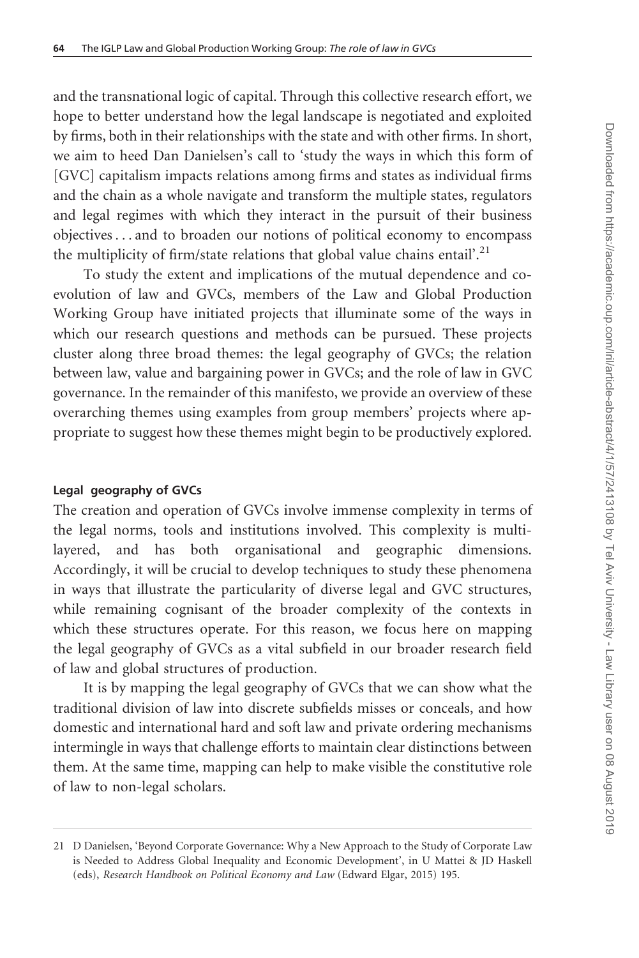and the transnational logic of capital. Through this collective research effort, we hope to better understand how the legal landscape is negotiated and exploited by firms, both in their relationships with the state and with other firms. In short, we aim to heed Dan Danielsen's call to 'study the ways in which this form of [GVC] capitalism impacts relations among firms and states as individual firms and the chain as a whole navigate and transform the multiple states, regulators and legal regimes with which they interact in the pursuit of their business objectives... and to broaden our notions of political economy to encompass the multiplicity of firm/state relations that global value chains entail'.<sup>21</sup>

To study the extent and implications of the mutual dependence and coevolution of law and GVCs, members of the Law and Global Production Working Group have initiated projects that illuminate some of the ways in which our research questions and methods can be pursued. These projects cluster along three broad themes: the legal geography of GVCs; the relation between law, value and bargaining power in GVCs; and the role of law in GVC governance. In the remainder of this manifesto, we provide an overview of these overarching themes using examples from group members' projects where appropriate to suggest how these themes might begin to be productively explored.

## Legal geography of GVCs

The creation and operation of GVCs involve immense complexity in terms of the legal norms, tools and institutions involved. This complexity is multilayered, and has both organisational and geographic dimensions. Accordingly, it will be crucial to develop techniques to study these phenomena in ways that illustrate the particularity of diverse legal and GVC structures, while remaining cognisant of the broader complexity of the contexts in which these structures operate. For this reason, we focus here on mapping the legal geography of GVCs as a vital subfield in our broader research field of law and global structures of production.

It is by mapping the legal geography of GVCs that we can show what the traditional division of law into discrete subfields misses or conceals, and how domestic and international hard and soft law and private ordering mechanisms intermingle in ways that challenge efforts to maintain clear distinctions between them. At the same time, mapping can help to make visible the constitutive role of law to non-legal scholars.

<sup>21</sup> D Danielsen, 'Beyond Corporate Governance: Why a New Approach to the Study of Corporate Law is Needed to Address Global Inequality and Economic Development', in U Mattei & JD Haskell (eds), Research Handbook on Political Economy and Law (Edward Elgar, 2015) 195.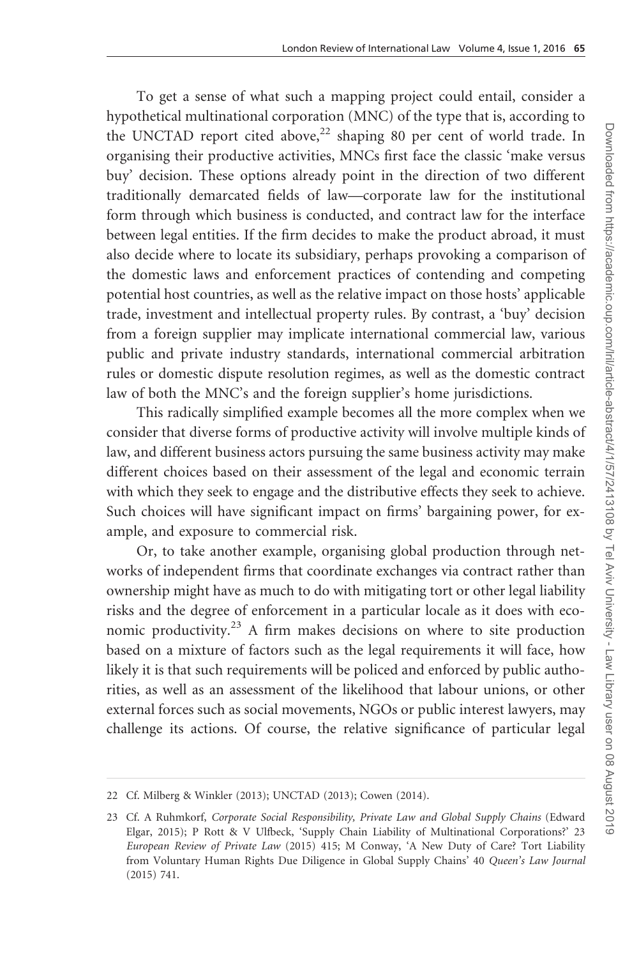To get a sense of what such a mapping project could entail, consider a hypothetical multinational corporation (MNC) of the type that is, according to the UNCTAD report cited above, $22$  shaping 80 per cent of world trade. In organising their productive activities, MNCs first face the classic 'make versus buy' decision. These options already point in the direction of two different traditionally demarcated fields of law—corporate law for the institutional form through which business is conducted, and contract law for the interface between legal entities. If the firm decides to make the product abroad, it must also decide where to locate its subsidiary, perhaps provoking a comparison of the domestic laws and enforcement practices of contending and competing potential host countries, as well as the relative impact on those hosts' applicable trade, investment and intellectual property rules. By contrast, a 'buy' decision from a foreign supplier may implicate international commercial law, various public and private industry standards, international commercial arbitration rules or domestic dispute resolution regimes, as well as the domestic contract law of both the MNC's and the foreign supplier's home jurisdictions.

This radically simplified example becomes all the more complex when we consider that diverse forms of productive activity will involve multiple kinds of law, and different business actors pursuing the same business activity may make different choices based on their assessment of the legal and economic terrain with which they seek to engage and the distributive effects they seek to achieve. Such choices will have significant impact on firms' bargaining power, for example, and exposure to commercial risk.

Or, to take another example, organising global production through networks of independent firms that coordinate exchanges via contract rather than ownership might have as much to do with mitigating tort or other legal liability risks and the degree of enforcement in a particular locale as it does with economic productivity.<sup>23</sup> A firm makes decisions on where to site production based on a mixture of factors such as the legal requirements it will face, how likely it is that such requirements will be policed and enforced by public authorities, as well as an assessment of the likelihood that labour unions, or other external forces such as social movements, NGOs or public interest lawyers, may challenge its actions. Of course, the relative significance of particular legal

<sup>22</sup> Cf. Milberg & Winkler (2013); UNCTAD (2013); Cowen (2014).

<sup>23</sup> Cf. A Ruhmkorf, Corporate Social Responsibility, Private Law and Global Supply Chains (Edward Elgar, 2015); P Rott & V Ulfbeck, 'Supply Chain Liability of Multinational Corporations?' 23 European Review of Private Law (2015) 415; M Conway, 'A New Duty of Care? Tort Liability from Voluntary Human Rights Due Diligence in Global Supply Chains' 40 Queen's Law Journal (2015) 741.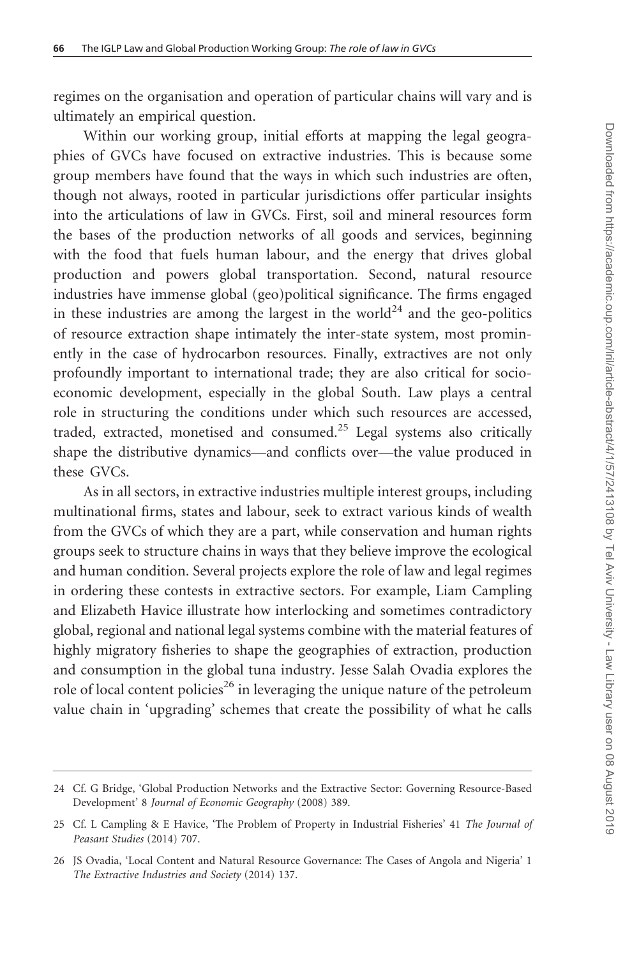regimes on the organisation and operation of particular chains will vary and is ultimately an empirical question.

Within our working group, initial efforts at mapping the legal geographies of GVCs have focused on extractive industries. This is because some group members have found that the ways in which such industries are often, though not always, rooted in particular jurisdictions offer particular insights into the articulations of law in GVCs. First, soil and mineral resources form the bases of the production networks of all goods and services, beginning with the food that fuels human labour, and the energy that drives global production and powers global transportation. Second, natural resource industries have immense global (geo)political significance. The firms engaged in these industries are among the largest in the world<sup>24</sup> and the geo-politics of resource extraction shape intimately the inter-state system, most prominently in the case of hydrocarbon resources. Finally, extractives are not only profoundly important to international trade; they are also critical for socioeconomic development, especially in the global South. Law plays a central role in structuring the conditions under which such resources are accessed, traded, extracted, monetised and consumed. $25$  Legal systems also critically shape the distributive dynamics—and conflicts over—the value produced in these GVCs.

As in all sectors, in extractive industries multiple interest groups, including multinational firms, states and labour, seek to extract various kinds of wealth from the GVCs of which they are a part, while conservation and human rights groups seek to structure chains in ways that they believe improve the ecological and human condition. Several projects explore the role of law and legal regimes in ordering these contests in extractive sectors. For example, Liam Campling and Elizabeth Havice illustrate how interlocking and sometimes contradictory global, regional and national legal systems combine with the material features of highly migratory fisheries to shape the geographies of extraction, production and consumption in the global tuna industry. Jesse Salah Ovadia explores the role of local content policies<sup>26</sup> in leveraging the unique nature of the petroleum value chain in 'upgrading' schemes that create the possibility of what he calls

<sup>24</sup> Cf. G Bridge, 'Global Production Networks and the Extractive Sector: Governing Resource-Based Development' 8 Journal of Economic Geography (2008) 389.

<sup>25</sup> Cf. L Campling & E Havice, 'The Problem of Property in Industrial Fisheries' 41 The Journal of Peasant Studies (2014) 707.

<sup>26</sup> JS Ovadia, 'Local Content and Natural Resource Governance: The Cases of Angola and Nigeria' 1 The Extractive Industries and Society (2014) 137.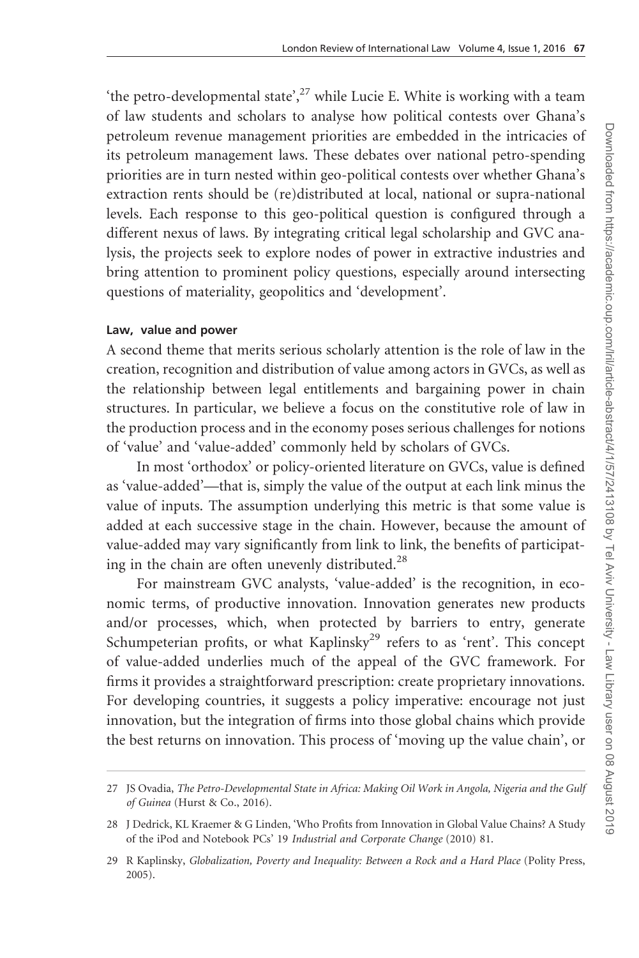'the petro-developmental state',  $27$  while Lucie E. White is working with a team of law students and scholars to analyse how political contests over Ghana's petroleum revenue management priorities are embedded in the intricacies of its petroleum management laws. These debates over national petro-spending priorities are in turn nested within geo-political contests over whether Ghana's extraction rents should be (re)distributed at local, national or supra-national levels. Each response to this geo-political question is configured through a different nexus of laws. By integrating critical legal scholarship and GVC analysis, the projects seek to explore nodes of power in extractive industries and bring attention to prominent policy questions, especially around intersecting questions of materiality, geopolitics and 'development'.

#### Law, value and power

A second theme that merits serious scholarly attention is the role of law in the creation, recognition and distribution of value among actors in GVCs, as well as the relationship between legal entitlements and bargaining power in chain structures. In particular, we believe a focus on the constitutive role of law in the production process and in the economy poses serious challenges for notions of 'value' and 'value-added' commonly held by scholars of GVCs.

In most 'orthodox' or policy-oriented literature on GVCs, value is defined as 'value-added'—that is, simply the value of the output at each link minus the value of inputs. The assumption underlying this metric is that some value is added at each successive stage in the chain. However, because the amount of value-added may vary significantly from link to link, the benefits of participating in the chain are often unevenly distributed.<sup>28</sup>

For mainstream GVC analysts, 'value-added' is the recognition, in economic terms, of productive innovation. Innovation generates new products and/or processes, which, when protected by barriers to entry, generate Schumpeterian profits, or what Kaplinsky<sup>29</sup> refers to as 'rent'. This concept of value-added underlies much of the appeal of the GVC framework. For firms it provides a straightforward prescription: create proprietary innovations. For developing countries, it suggests a policy imperative: encourage not just innovation, but the integration of firms into those global chains which provide the best returns on innovation. This process of 'moving up the value chain', or

<sup>27</sup> JS Ovadia, The Petro-Developmental State in Africa: Making Oil Work in Angola, Nigeria and the Gulf of Guinea (Hurst & Co., 2016).

<sup>28</sup> J Dedrick, KL Kraemer & G Linden, 'Who Profits from Innovation in Global Value Chains? A Study of the iPod and Notebook PCs' 19 Industrial and Corporate Change (2010) 81.

<sup>29</sup> R Kaplinsky, Globalization, Poverty and Inequality: Between a Rock and a Hard Place (Polity Press, 2005).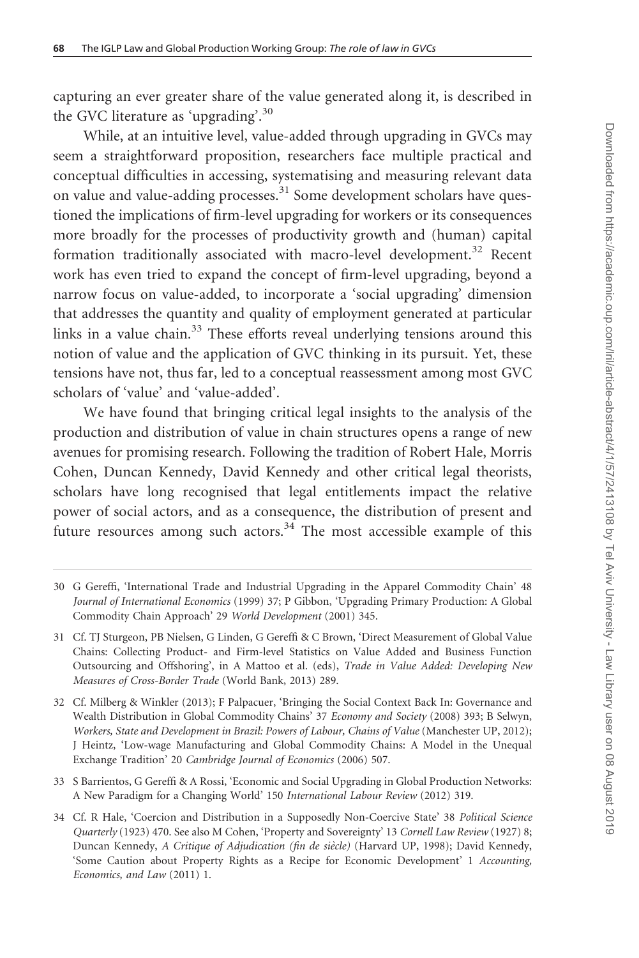capturing an ever greater share of the value generated along it, is described in the GVC literature as 'upgrading'. $30$ 

While, at an intuitive level, value-added through upgrading in GVCs may seem a straightforward proposition, researchers face multiple practical and conceptual difficulties in accessing, systematising and measuring relevant data on value and value-adding processes.<sup>31</sup> Some development scholars have questioned the implications of firm-level upgrading for workers or its consequences more broadly for the processes of productivity growth and (human) capital formation traditionally associated with macro-level development.<sup>32</sup> Recent work has even tried to expand the concept of firm-level upgrading, beyond a narrow focus on value-added, to incorporate a 'social upgrading' dimension that addresses the quantity and quality of employment generated at particular links in a value chain. $33$  These efforts reveal underlying tensions around this notion of value and the application of GVC thinking in its pursuit. Yet, these tensions have not, thus far, led to a conceptual reassessment among most GVC scholars of 'value' and 'value-added'.

We have found that bringing critical legal insights to the analysis of the production and distribution of value in chain structures opens a range of new avenues for promising research. Following the tradition of Robert Hale, Morris Cohen, Duncan Kennedy, David Kennedy and other critical legal theorists, scholars have long recognised that legal entitlements impact the relative power of social actors, and as a consequence, the distribution of present and future resources among such actors. $34$  The most accessible example of this

33 S Barrientos, G Gereffi & A Rossi, 'Economic and Social Upgrading in Global Production Networks: A New Paradigm for a Changing World' 150 International Labour Review (2012) 319.

<sup>30</sup> G Gereffi, 'International Trade and Industrial Upgrading in the Apparel Commodity Chain' 48 Journal of International Economics (1999) 37; P Gibbon, 'Upgrading Primary Production: A Global Commodity Chain Approach' 29 World Development (2001) 345.

<sup>31</sup> Cf. TJ Sturgeon, PB Nielsen, G Linden, G Gereffi & C Brown, 'Direct Measurement of Global Value Chains: Collecting Product- and Firm-level Statistics on Value Added and Business Function Outsourcing and Offshoring', in A Mattoo et al. (eds), Trade in Value Added: Developing New Measures of Cross-Border Trade (World Bank, 2013) 289.

<sup>32</sup> Cf. Milberg & Winkler (2013); F Palpacuer, 'Bringing the Social Context Back In: Governance and Wealth Distribution in Global Commodity Chains' 37 Economy and Society (2008) 393; B Selwyn, Workers, State and Development in Brazil: Powers of Labour, Chains of Value (Manchester UP, 2012); J Heintz, 'Low-wage Manufacturing and Global Commodity Chains: A Model in the Unequal Exchange Tradition' 20 Cambridge Journal of Economics (2006) 507.

<sup>34</sup> Cf. R Hale, 'Coercion and Distribution in a Supposedly Non-Coercive State' 38 Political Science Quarterly (1923) 470. See also M Cohen, 'Property and Sovereignty' 13 Cornell Law Review (1927) 8; Duncan Kennedy, A Critique of Adjudication (fin de siècle) (Harvard UP, 1998); David Kennedy, 'Some Caution about Property Rights as a Recipe for Economic Development' 1 Accounting, Economics, and Law (2011) 1.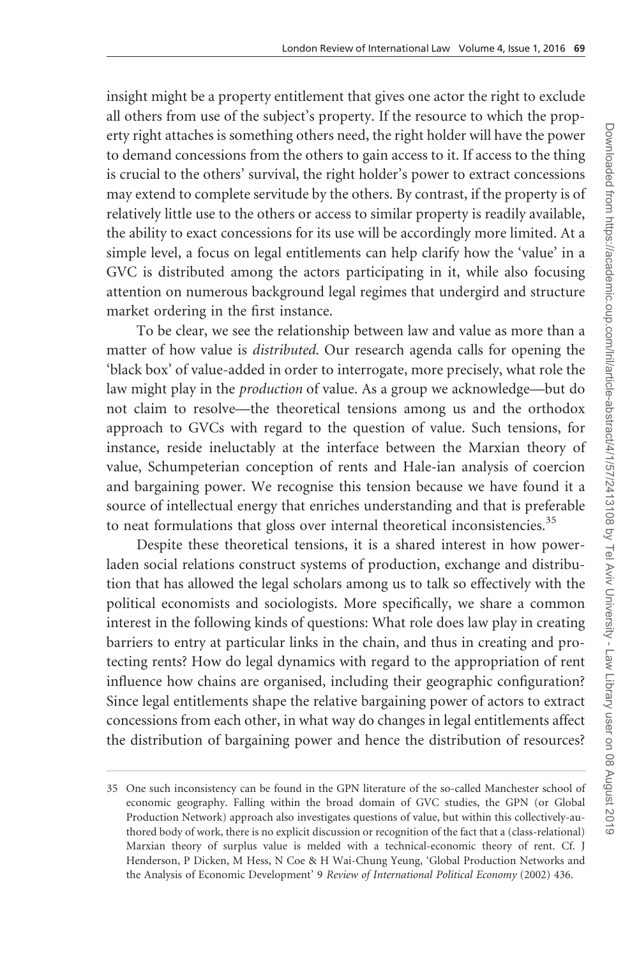insight might be a property entitlement that gives one actor the right to exclude all others from use of the subject's property. If the resource to which the property right attaches is something others need, the right holder will have the power to demand concessions from the others to gain access to it. If access to the thing is crucial to the others' survival, the right holder's power to extract concessions may extend to complete servitude by the others. By contrast, if the property is of relatively little use to the others or access to similar property is readily available, the ability to exact concessions for its use will be accordingly more limited. At a simple level, a focus on legal entitlements can help clarify how the 'value' in a GVC is distributed among the actors participating in it, while also focusing attention on numerous background legal regimes that undergird and structure market ordering in the first instance.

To be clear, we see the relationship between law and value as more than a matter of how value is distributed. Our research agenda calls for opening the 'black box' of value-added in order to interrogate, more precisely, what role the law might play in the production of value. As a group we acknowledge—but do not claim to resolve—the theoretical tensions among us and the orthodox approach to GVCs with regard to the question of value. Such tensions, for instance, reside ineluctably at the interface between the Marxian theory of value, Schumpeterian conception of rents and Hale-ian analysis of coercion and bargaining power. We recognise this tension because we have found it a source of intellectual energy that enriches understanding and that is preferable to neat formulations that gloss over internal theoretical inconsistencies.<sup>35</sup>

Despite these theoretical tensions, it is a shared interest in how powerladen social relations construct systems of production, exchange and distribution that has allowed the legal scholars among us to talk so effectively with the political economists and sociologists. More specifically, we share a common interest in the following kinds of questions: What role does law play in creating barriers to entry at particular links in the chain, and thus in creating and protecting rents? How do legal dynamics with regard to the appropriation of rent influence how chains are organised, including their geographic configuration? Since legal entitlements shape the relative bargaining power of actors to extract concessions from each other, in what way do changes in legal entitlements affect the distribution of bargaining power and hence the distribution of resources?

<sup>35</sup> One such inconsistency can be found in the GPN literature of the so-called Manchester school of economic geography. Falling within the broad domain of GVC studies, the GPN (or Global Production Network) approach also investigates questions of value, but within this collectively-authored body of work, there is no explicit discussion or recognition of the fact that a (class-relational) Marxian theory of surplus value is melded with a technical-economic theory of rent. Cf. J Henderson, P Dicken, M Hess, N Coe & H Wai-Chung Yeung, 'Global Production Networks and the Analysis of Economic Development' 9 Review of International Political Economy (2002) 436.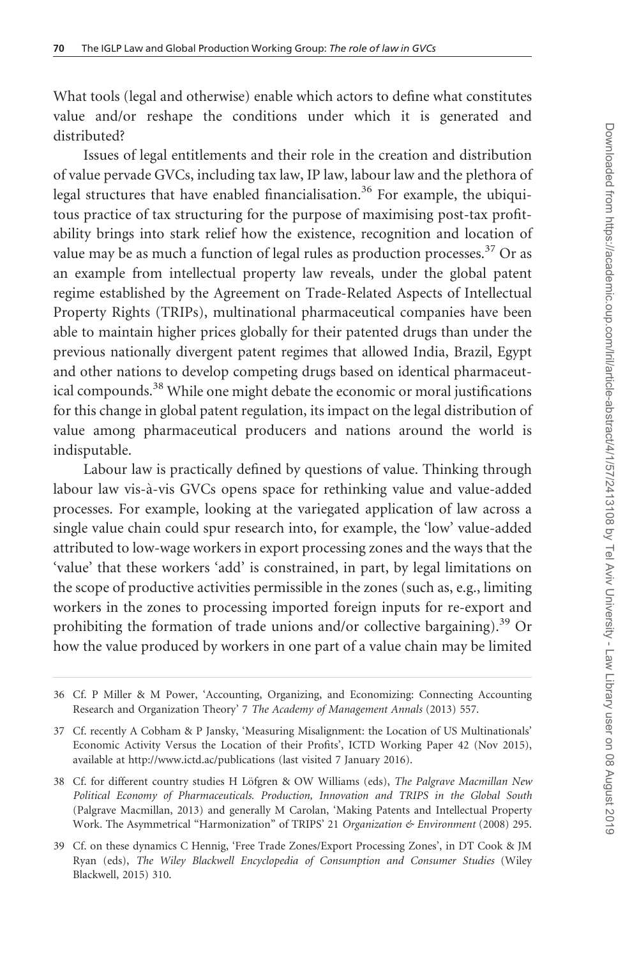What tools (legal and otherwise) enable which actors to define what constitutes value and/or reshape the conditions under which it is generated and distributed?

Issues of legal entitlements and their role in the creation and distribution of value pervade GVCs, including tax law, IP law, labour law and the plethora of legal structures that have enabled financialisation.<sup>36</sup> For example, the ubiquitous practice of tax structuring for the purpose of maximising post-tax profitability brings into stark relief how the existence, recognition and location of value may be as much a function of legal rules as production processes.<sup>37</sup> Or as an example from intellectual property law reveals, under the global patent regime established by the Agreement on Trade-Related Aspects of Intellectual Property Rights (TRIPs), multinational pharmaceutical companies have been able to maintain higher prices globally for their patented drugs than under the previous nationally divergent patent regimes that allowed India, Brazil, Egypt and other nations to develop competing drugs based on identical pharmaceutical compounds.<sup>38</sup> While one might debate the economic or moral justifications for this change in global patent regulation, its impact on the legal distribution of value among pharmaceutical producers and nations around the world is indisputable.

Labour law is practically defined by questions of value. Thinking through labour law vis-a`-vis GVCs opens space for rethinking value and value-added processes. For example, looking at the variegated application of law across a single value chain could spur research into, for example, the 'low' value-added attributed to low-wage workers in export processing zones and the ways that the 'value' that these workers 'add' is constrained, in part, by legal limitations on the scope of productive activities permissible in the zones (such as, e.g., limiting workers in the zones to processing imported foreign inputs for re-export and prohibiting the formation of trade unions and/or collective bargaining).<sup>39</sup> Or how the value produced by workers in one part of a value chain may be limited

- 38 Cf. for different country studies H Löfgren & OW Williams (eds), The Palgrave Macmillan New Political Economy of Pharmaceuticals. Production, Innovation and TRIPS in the Global South (Palgrave Macmillan, 2013) and generally M Carolan, 'Making Patents and Intellectual Property Work. The Asymmetrical "Harmonization" of TRIPS' 21 Organization & Environment (2008) 295.
- 39 Cf. on these dynamics C Hennig, 'Free Trade Zones/Export Processing Zones', in DT Cook & JM Ryan (eds), The Wiley Blackwell Encyclopedia of Consumption and Consumer Studies (Wiley Blackwell, 2015) 310.

<sup>36</sup> Cf. P Miller & M Power, 'Accounting, Organizing, and Economizing: Connecting Accounting Research and Organization Theory' 7 The Academy of Management Annals (2013) 557.

<sup>37</sup> Cf. recently A Cobham & P Jansky, 'Measuring Misalignment: the Location of US Multinationals' Economic Activity Versus the Location of their Profits', ICTD Working Paper 42 (Nov 2015), available at<http://www.ictd.ac/publications> (last visited 7 January 2016).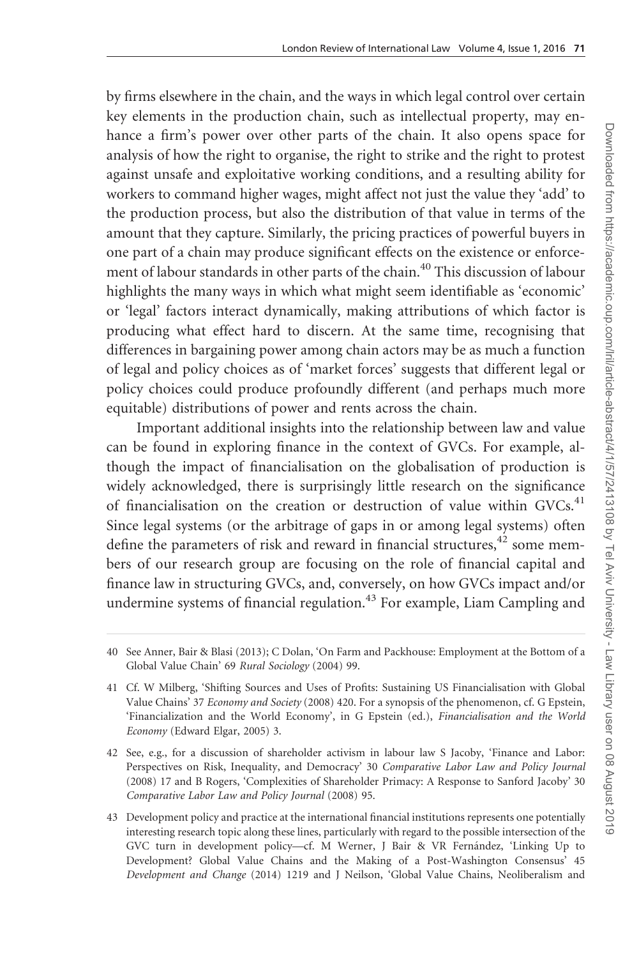by firms elsewhere in the chain, and the ways in which legal control over certain key elements in the production chain, such as intellectual property, may enhance a firm's power over other parts of the chain. It also opens space for analysis of how the right to organise, the right to strike and the right to protest against unsafe and exploitative working conditions, and a resulting ability for workers to command higher wages, might affect not just the value they 'add' to the production process, but also the distribution of that value in terms of the amount that they capture. Similarly, the pricing practices of powerful buyers in one part of a chain may produce significant effects on the existence or enforcement of labour standards in other parts of the chain.<sup>40</sup> This discussion of labour highlights the many ways in which what might seem identifiable as 'economic' or 'legal' factors interact dynamically, making attributions of which factor is producing what effect hard to discern. At the same time, recognising that differences in bargaining power among chain actors may be as much a function of legal and policy choices as of 'market forces' suggests that different legal or policy choices could produce profoundly different (and perhaps much more equitable) distributions of power and rents across the chain.

Important additional insights into the relationship between law and value can be found in exploring finance in the context of GVCs. For example, although the impact of financialisation on the globalisation of production is widely acknowledged, there is surprisingly little research on the significance of financialisation on the creation or destruction of value within GVCs.<sup>41</sup> Since legal systems (or the arbitrage of gaps in or among legal systems) often define the parameters of risk and reward in financial structures,<sup>42</sup> some members of our research group are focusing on the role of financial capital and finance law in structuring GVCs, and, conversely, on how GVCs impact and/or undermine systems of financial regulation.<sup>43</sup> For example, Liam Campling and

<sup>40</sup> See Anner, Bair & Blasi (2013); C Dolan, 'On Farm and Packhouse: Employment at the Bottom of a Global Value Chain' 69 Rural Sociology (2004) 99.

<sup>41</sup> Cf. W Milberg, 'Shifting Sources and Uses of Profits: Sustaining US Financialisation with Global Value Chains' 37 Economy and Society (2008) 420. For a synopsis of the phenomenon, cf. G Epstein, 'Financialization and the World Economy', in G Epstein (ed.), Financialisation and the World Economy (Edward Elgar, 2005) 3.

<sup>42</sup> See, e.g., for a discussion of shareholder activism in labour law S Jacoby, 'Finance and Labor: Perspectives on Risk, Inequality, and Democracy' 30 Comparative Labor Law and Policy Journal (2008) 17 and B Rogers, 'Complexities of Shareholder Primacy: A Response to Sanford Jacoby' 30 Comparative Labor Law and Policy Journal (2008) 95.

<sup>43</sup> Development policy and practice at the international financial institutions represents one potentially interesting research topic along these lines, particularly with regard to the possible intersection of the GVC turn in development policy—cf. M Werner, J Bair & VR Fernández, 'Linking Up to Development? Global Value Chains and the Making of a Post-Washington Consensus' 45 Development and Change (2014) 1219 and J Neilson, 'Global Value Chains, Neoliberalism and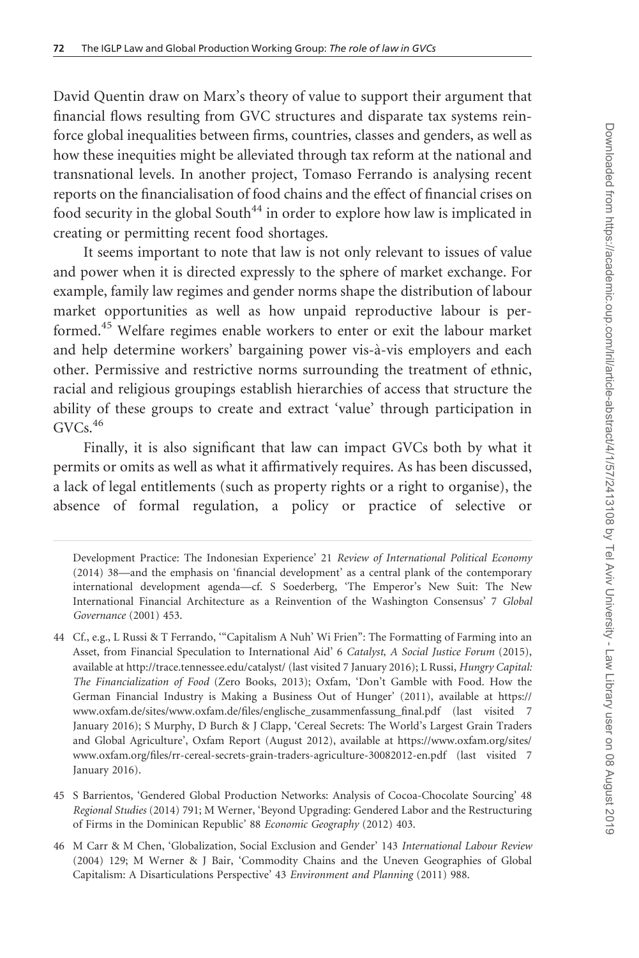David Quentin draw on Marx's theory of value to support their argument that financial flows resulting from GVC structures and disparate tax systems reinforce global inequalities between firms, countries, classes and genders, as well as how these inequities might be alleviated through tax reform at the national and transnational levels. In another project, Tomaso Ferrando is analysing recent reports on the financialisation of food chains and the effect of financial crises on food security in the global South $44$  in order to explore how law is implicated in creating or permitting recent food shortages.

It seems important to note that law is not only relevant to issues of value and power when it is directed expressly to the sphere of market exchange. For example, family law regimes and gender norms shape the distribution of labour market opportunities as well as how unpaid reproductive labour is performed.<sup>45</sup> Welfare regimes enable workers to enter or exit the labour market and help determine workers' bargaining power vis-à-vis employers and each other. Permissive and restrictive norms surrounding the treatment of ethnic, racial and religious groupings establish hierarchies of access that structure the ability of these groups to create and extract 'value' through participation in  $GVCs.$ <sup>46</sup>

Finally, it is also significant that law can impact GVCs both by what it permits or omits as well as what it affirmatively requires. As has been discussed, a lack of legal entitlements (such as property rights or a right to organise), the absence of formal regulation, a policy or practice of selective or

Development Practice: The Indonesian Experience' 21 Review of International Political Economy (2014) 38—and the emphasis on 'financial development' as a central plank of the contemporary international development agenda—cf. S Soederberg, 'The Emperor's New Suit: The New International Financial Architecture as a Reinvention of the Washington Consensus' 7 Global Governance (2001) 453.

<sup>44</sup> Cf., e.g., L Russi & T Ferrando, '"Capitalism A Nuh' Wi Frien": The Formatting of Farming into an Asset, from Financial Speculation to International Aid' 6 Catalyst, A Social Justice Forum (2015), available at<http://trace.tennessee.edu/catalyst/> (last visited 7 January 2016); L Russi, Hungry Capital: The Financialization of Food (Zero Books, 2013); Oxfam, 'Don't Gamble with Food. How the German Financial Industry is Making a Business Out of Hunger' (2011), available at [https://](https://www.oxfam.de/sites/www.oxfam.de/files/englische_zusammenfassung_final.pdf) [www.oxfam.de/sites/www.oxfam.de/files/englische\\_zusammenfassung\\_final.pdf](https://www.oxfam.de/sites/www.oxfam.de/files/englische_zusammenfassung_final.pdf) (last visited 7 January 2016); S Murphy, D Burch & J Clapp, 'Cereal Secrets: The World's Largest Grain Traders and Global Agriculture', Oxfam Report (August 2012), available at [https://www.oxfam.org/sites/](https://www.oxfam.org/sites/www.oxfam.org/files/rr-cereal-secrets-grain-traders-agriculture-30082012-en.pdf) [www.oxfam.org/files/rr-cereal-secrets-grain-traders-agriculture-30082012-en.pdf](https://www.oxfam.org/sites/www.oxfam.org/files/rr-cereal-secrets-grain-traders-agriculture-30082012-en.pdf) (last visited 7 January 2016).

<sup>45</sup> S Barrientos, 'Gendered Global Production Networks: Analysis of Cocoa-Chocolate Sourcing' 48 Regional Studies (2014) 791; M Werner, 'Beyond Upgrading: Gendered Labor and the Restructuring of Firms in the Dominican Republic' 88 Economic Geography (2012) 403.

<sup>46</sup> M Carr & M Chen, 'Globalization, Social Exclusion and Gender' 143 International Labour Review (2004) 129; M Werner & J Bair, 'Commodity Chains and the Uneven Geographies of Global Capitalism: A Disarticulations Perspective' 43 Environment and Planning (2011) 988.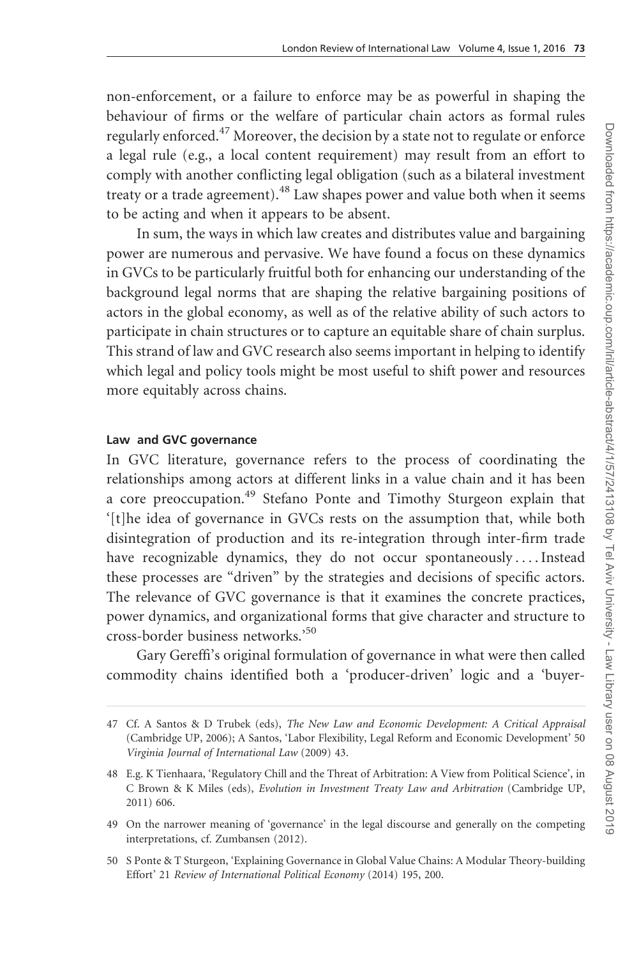non-enforcement, or a failure to enforce may be as powerful in shaping the behaviour of firms or the welfare of particular chain actors as formal rules regularly enforced.<sup>47</sup> Moreover, the decision by a state not to regulate or enforce a legal rule (e.g., a local content requirement) may result from an effort to comply with another conflicting legal obligation (such as a bilateral investment treaty or a trade agreement).<sup>48</sup> Law shapes power and value both when it seems to be acting and when it appears to be absent.

In sum, the ways in which law creates and distributes value and bargaining power are numerous and pervasive. We have found a focus on these dynamics in GVCs to be particularly fruitful both for enhancing our understanding of the background legal norms that are shaping the relative bargaining positions of actors in the global economy, as well as of the relative ability of such actors to participate in chain structures or to capture an equitable share of chain surplus. This strand of law and GVC research also seems important in helping to identify which legal and policy tools might be most useful to shift power and resources more equitably across chains.

#### Law and GVC governance

In GVC literature, governance refers to the process of coordinating the relationships among actors at different links in a value chain and it has been a core preoccupation.<sup>49</sup> Stefano Ponte and Timothy Sturgeon explain that '[t]he idea of governance in GVCs rests on the assumption that, while both disintegration of production and its re-integration through inter-firm trade have recognizable dynamics, they do not occur spontaneously ... . Instead these processes are "driven" by the strategies and decisions of specific actors. The relevance of GVC governance is that it examines the concrete practices, power dynamics, and organizational forms that give character and structure to cross-border business networks.'<sup>50</sup>

Gary Gereffi's original formulation of governance in what were then called commodity chains identified both a 'producer-driven' logic and a 'buyer-

- 49 On the narrower meaning of 'governance' in the legal discourse and generally on the competing interpretations, cf. Zumbansen (2012).
- 50 S Ponte & T Sturgeon, 'Explaining Governance in Global Value Chains: A Modular Theory-building Effort' 21 Review of International Political Economy (2014) 195, 200.

<sup>47</sup> Cf. A Santos & D Trubek (eds), The New Law and Economic Development: A Critical Appraisal (Cambridge UP, 2006); A Santos, 'Labor Flexibility, Legal Reform and Economic Development' 50 Virginia Journal of International Law (2009) 43.

<sup>48</sup> E.g. K Tienhaara, 'Regulatory Chill and the Threat of Arbitration: A View from Political Science', in C Brown & K Miles (eds), Evolution in Investment Treaty Law and Arbitration (Cambridge UP, 2011) 606.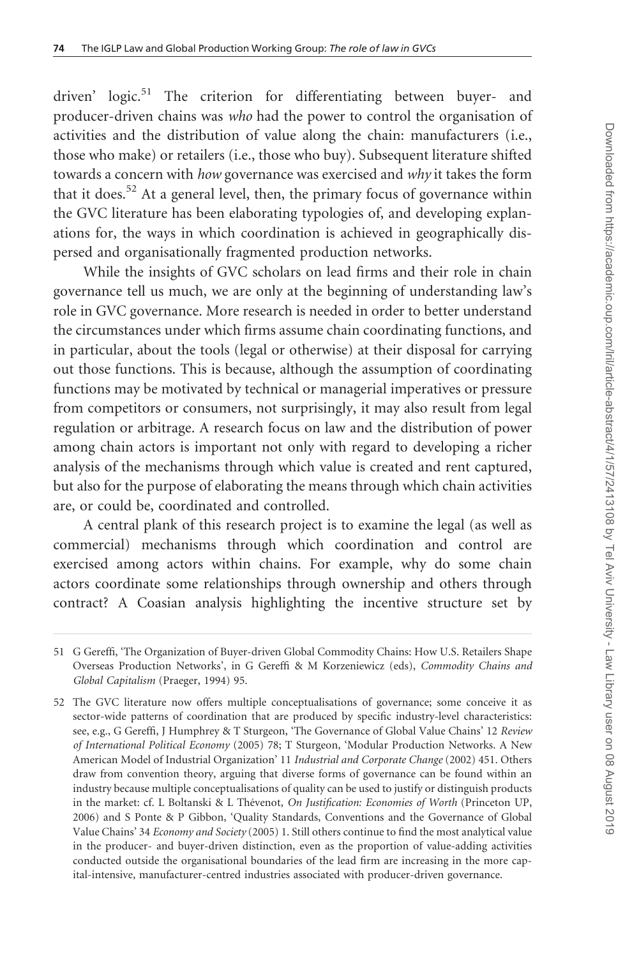driven' logic.<sup>51</sup> The criterion for differentiating between buyer- and producer-driven chains was who had the power to control the organisation of activities and the distribution of value along the chain: manufacturers (i.e., those who make) or retailers (i.e., those who buy). Subsequent literature shifted towards a concern with how governance was exercised and why it takes the form that it does.<sup>52</sup> At a general level, then, the primary focus of governance within the GVC literature has been elaborating typologies of, and developing explanations for, the ways in which coordination is achieved in geographically dispersed and organisationally fragmented production networks.

While the insights of GVC scholars on lead firms and their role in chain governance tell us much, we are only at the beginning of understanding law's role in GVC governance. More research is needed in order to better understand the circumstances under which firms assume chain coordinating functions, and in particular, about the tools (legal or otherwise) at their disposal for carrying out those functions. This is because, although the assumption of coordinating functions may be motivated by technical or managerial imperatives or pressure from competitors or consumers, not surprisingly, it may also result from legal regulation or arbitrage. A research focus on law and the distribution of power among chain actors is important not only with regard to developing a richer analysis of the mechanisms through which value is created and rent captured, but also for the purpose of elaborating the means through which chain activities are, or could be, coordinated and controlled.

A central plank of this research project is to examine the legal (as well as commercial) mechanisms through which coordination and control are exercised among actors within chains. For example, why do some chain actors coordinate some relationships through ownership and others through contract? A Coasian analysis highlighting the incentive structure set by

<sup>51</sup> G Gereffi, 'The Organization of Buyer-driven Global Commodity Chains: How U.S. Retailers Shape Overseas Production Networks', in G Gereffi & M Korzeniewicz (eds), Commodity Chains and Global Capitalism (Praeger, 1994) 95.

<sup>52</sup> The GVC literature now offers multiple conceptualisations of governance; some conceive it as sector-wide patterns of coordination that are produced by specific industry-level characteristics: see, e.g., G Gereffi, J Humphrey & T Sturgeon, 'The Governance of Global Value Chains' 12 Review of International Political Economy (2005) 78; T Sturgeon, 'Modular Production Networks. A New American Model of Industrial Organization' 11 Industrial and Corporate Change (2002) 451. Others draw from convention theory, arguing that diverse forms of governance can be found within an industry because multiple conceptualisations of quality can be used to justify or distinguish products in the market: cf. L Boltanski & L Thévenot, On Justification: Economies of Worth (Princeton UP, 2006) and S Ponte & P Gibbon, 'Quality Standards, Conventions and the Governance of Global Value Chains' 34 Economy and Society (2005) 1. Still others continue to find the most analytical value in the producer- and buyer-driven distinction, even as the proportion of value-adding activities conducted outside the organisational boundaries of the lead firm are increasing in the more capital-intensive, manufacturer-centred industries associated with producer-driven governance.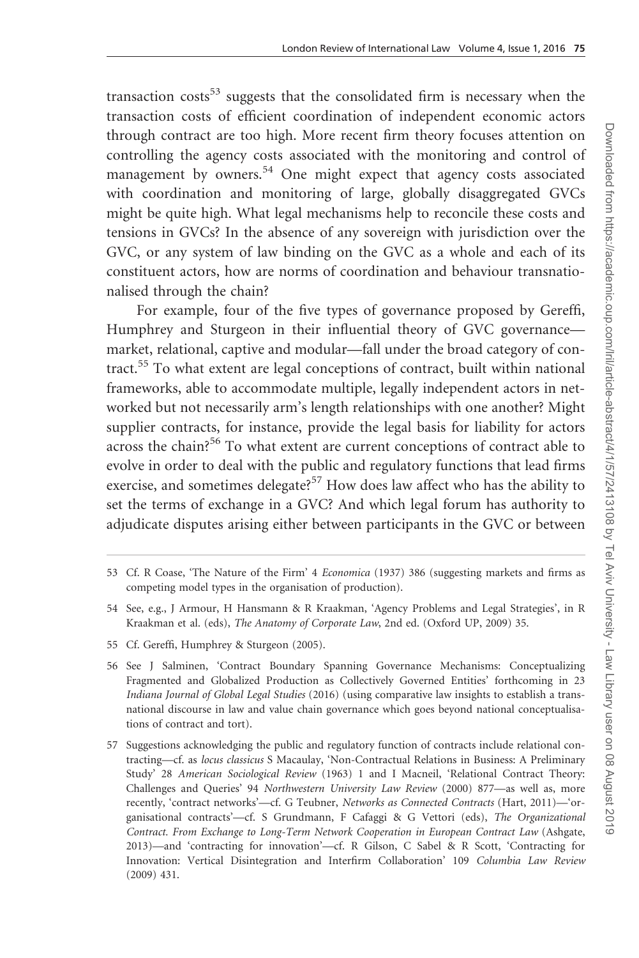transaction costs<sup>53</sup> suggests that the consolidated firm is necessary when the transaction costs of efficient coordination of independent economic actors through contract are too high. More recent firm theory focuses attention on controlling the agency costs associated with the monitoring and control of management by owners.<sup>54</sup> One might expect that agency costs associated with coordination and monitoring of large, globally disaggregated GVCs might be quite high. What legal mechanisms help to reconcile these costs and tensions in GVCs? In the absence of any sovereign with jurisdiction over the GVC, or any system of law binding on the GVC as a whole and each of its constituent actors, how are norms of coordination and behaviour transnationalised through the chain?

For example, four of the five types of governance proposed by Gereffi, Humphrey and Sturgeon in their influential theory of GVC governance market, relational, captive and modular—fall under the broad category of contract.<sup>55</sup> To what extent are legal conceptions of contract, built within national frameworks, able to accommodate multiple, legally independent actors in networked but not necessarily arm's length relationships with one another? Might supplier contracts, for instance, provide the legal basis for liability for actors across the chain?<sup>56</sup> To what extent are current conceptions of contract able to evolve in order to deal with the public and regulatory functions that lead firms exercise, and sometimes delegate?<sup>57</sup> How does law affect who has the ability to set the terms of exchange in a GVC? And which legal forum has authority to adjudicate disputes arising either between participants in the GVC or between

55 Cf. Gereffi, Humphrey & Sturgeon (2005).

<sup>53</sup> Cf. R Coase, 'The Nature of the Firm' 4 Economica (1937) 386 (suggesting markets and firms as competing model types in the organisation of production).

<sup>54</sup> See, e.g., J Armour, H Hansmann & R Kraakman, 'Agency Problems and Legal Strategies', in R Kraakman et al. (eds), The Anatomy of Corporate Law, 2nd ed. (Oxford UP, 2009) 35.

<sup>56</sup> See J Salminen, 'Contract Boundary Spanning Governance Mechanisms: Conceptualizing Fragmented and Globalized Production as Collectively Governed Entities' forthcoming in 23 Indiana Journal of Global Legal Studies (2016) (using comparative law insights to establish a transnational discourse in law and value chain governance which goes beyond national conceptualisations of contract and tort).

<sup>57</sup> Suggestions acknowledging the public and regulatory function of contracts include relational contracting—cf. as locus classicus S Macaulay, 'Non-Contractual Relations in Business: A Preliminary Study' 28 American Sociological Review (1963) 1 and I Macneil, 'Relational Contract Theory: Challenges and Queries' 94 Northwestern University Law Review (2000) 877—as well as, more recently, 'contract networks'—cf. G Teubner, Networks as Connected Contracts (Hart, 2011)—'organisational contracts'—cf. S Grundmann, F Cafaggi & G Vettori (eds), The Organizational Contract. From Exchange to Long-Term Network Cooperation in European Contract Law (Ashgate, 2013)—and 'contracting for innovation'—cf. R Gilson, C Sabel & R Scott, 'Contracting for Innovation: Vertical Disintegration and Interfirm Collaboration' 109 Columbia Law Review (2009) 431.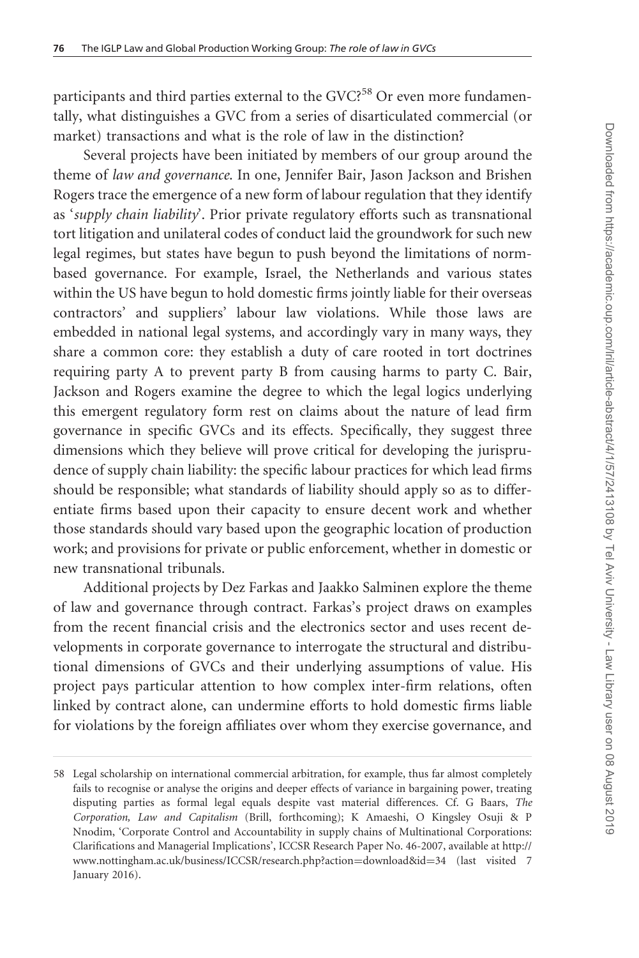participants and third parties external to the GVC?<sup>58</sup> Or even more fundamentally, what distinguishes a GVC from a series of disarticulated commercial (or market) transactions and what is the role of law in the distinction?

Several projects have been initiated by members of our group around the theme of law and governance. In one, Jennifer Bair, Jason Jackson and Brishen Rogers trace the emergence of a new form of labour regulation that they identify as 'supply chain liability'. Prior private regulatory efforts such as transnational tort litigation and unilateral codes of conduct laid the groundwork for such new legal regimes, but states have begun to push beyond the limitations of normbased governance. For example, Israel, the Netherlands and various states within the US have begun to hold domestic firms jointly liable for their overseas contractors' and suppliers' labour law violations. While those laws are embedded in national legal systems, and accordingly vary in many ways, they share a common core: they establish a duty of care rooted in tort doctrines requiring party A to prevent party B from causing harms to party C. Bair, Jackson and Rogers examine the degree to which the legal logics underlying this emergent regulatory form rest on claims about the nature of lead firm governance in specific GVCs and its effects. Specifically, they suggest three dimensions which they believe will prove critical for developing the jurisprudence of supply chain liability: the specific labour practices for which lead firms should be responsible; what standards of liability should apply so as to differentiate firms based upon their capacity to ensure decent work and whether those standards should vary based upon the geographic location of production work; and provisions for private or public enforcement, whether in domestic or new transnational tribunals.

Additional projects by Dez Farkas and Jaakko Salminen explore the theme of law and governance through contract. Farkas's project draws on examples from the recent financial crisis and the electronics sector and uses recent developments in corporate governance to interrogate the structural and distributional dimensions of GVCs and their underlying assumptions of value. His project pays particular attention to how complex inter-firm relations, often linked by contract alone, can undermine efforts to hold domestic firms liable for violations by the foreign affiliates over whom they exercise governance, and

<sup>58</sup> Legal scholarship on international commercial arbitration, for example, thus far almost completely fails to recognise or analyse the origins and deeper effects of variance in bargaining power, treating disputing parties as formal legal equals despite vast material differences. Cf. G Baars, The Corporation, Law and Capitalism (Brill, forthcoming); K Amaeshi, O Kingsley Osuji & P Nnodim, 'Corporate Control and Accountability in supply chains of Multinational Corporations: Clarifications and Managerial Implications', ICCSR Research Paper No. 46-2007, available at [http://](http://www.nottingham.ac.uk/business/ICCSR/research.php?action=download&id=34) [www.nottingham.ac.uk/business/ICCSR/research.php?action](http://www.nottingham.ac.uk/business/ICCSR/research.php?action=download&id=34)=[download&id](http://www.nottingham.ac.uk/business/ICCSR/research.php?action=download&id=34)=[34](http://www.nottingham.ac.uk/business/ICCSR/research.php?action=download&id=34) (last visited 7 January 2016).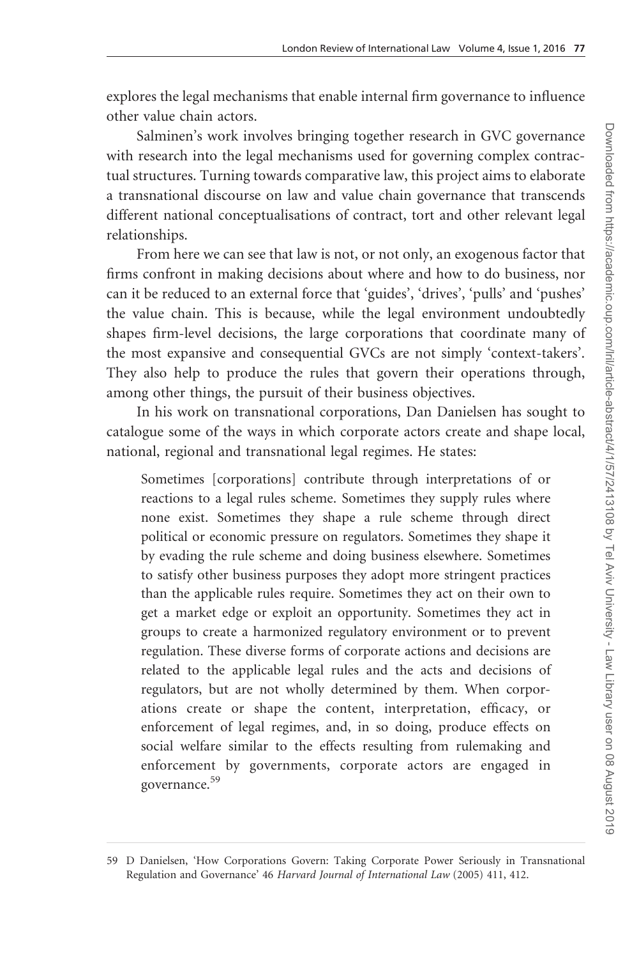explores the legal mechanisms that enable internal firm governance to influence other value chain actors.

Salminen's work involves bringing together research in GVC governance with research into the legal mechanisms used for governing complex contractual structures. Turning towards comparative law, this project aims to elaborate a transnational discourse on law and value chain governance that transcends different national conceptualisations of contract, tort and other relevant legal relationships.

From here we can see that law is not, or not only, an exogenous factor that firms confront in making decisions about where and how to do business, nor can it be reduced to an external force that 'guides', 'drives', 'pulls' and 'pushes' the value chain. This is because, while the legal environment undoubtedly shapes firm-level decisions, the large corporations that coordinate many of the most expansive and consequential GVCs are not simply 'context-takers'. They also help to produce the rules that govern their operations through, among other things, the pursuit of their business objectives.

In his work on transnational corporations, Dan Danielsen has sought to catalogue some of the ways in which corporate actors create and shape local, national, regional and transnational legal regimes. He states:

Sometimes [corporations] contribute through interpretations of or reactions to a legal rules scheme. Sometimes they supply rules where none exist. Sometimes they shape a rule scheme through direct political or economic pressure on regulators. Sometimes they shape it by evading the rule scheme and doing business elsewhere. Sometimes to satisfy other business purposes they adopt more stringent practices than the applicable rules require. Sometimes they act on their own to get a market edge or exploit an opportunity. Sometimes they act in groups to create a harmonized regulatory environment or to prevent regulation. These diverse forms of corporate actions and decisions are related to the applicable legal rules and the acts and decisions of regulators, but are not wholly determined by them. When corporations create or shape the content, interpretation, efficacy, or enforcement of legal regimes, and, in so doing, produce effects on social welfare similar to the effects resulting from rulemaking and enforcement by governments, corporate actors are engaged in governance.<sup>59</sup>

<sup>59</sup> D Danielsen, 'How Corporations Govern: Taking Corporate Power Seriously in Transnational Regulation and Governance' 46 Harvard Journal of International Law (2005) 411, 412.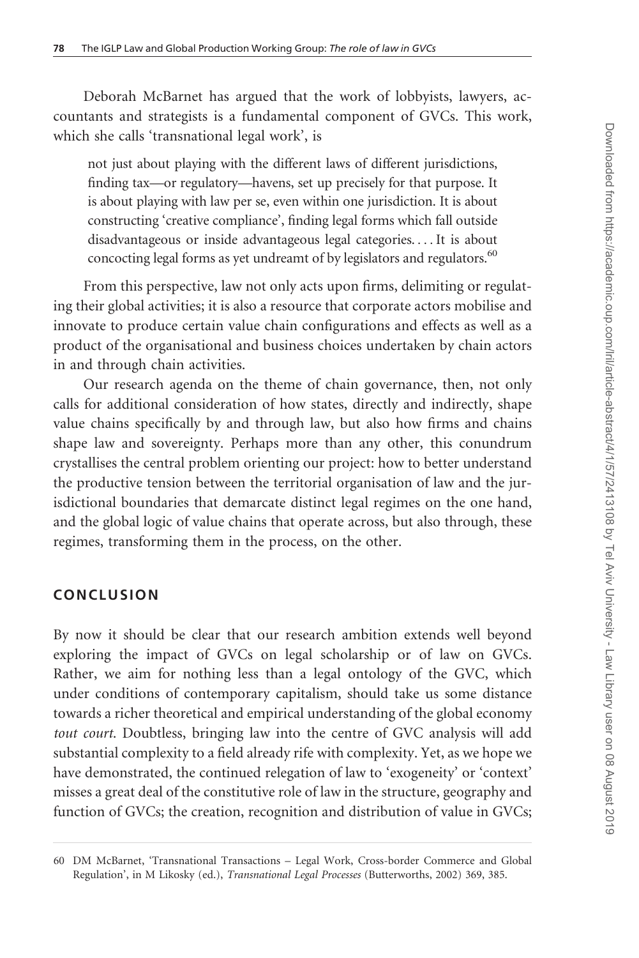Deborah McBarnet has argued that the work of lobbyists, lawyers, accountants and strategists is a fundamental component of GVCs. This work, which she calls 'transnational legal work', is

not just about playing with the different laws of different jurisdictions, finding tax—or regulatory—havens, set up precisely for that purpose. It is about playing with law per se, even within one jurisdiction. It is about constructing 'creative compliance', finding legal forms which fall outside disadvantageous or inside advantageous legal categories. ... It is about concocting legal forms as yet undreamt of by legislators and regulators.<sup>60</sup>

From this perspective, law not only acts upon firms, delimiting or regulating their global activities; it is also a resource that corporate actors mobilise and innovate to produce certain value chain configurations and effects as well as a product of the organisational and business choices undertaken by chain actors in and through chain activities.

Our research agenda on the theme of chain governance, then, not only calls for additional consideration of how states, directly and indirectly, shape value chains specifically by and through law, but also how firms and chains shape law and sovereignty. Perhaps more than any other, this conundrum crystallises the central problem orienting our project: how to better understand the productive tension between the territorial organisation of law and the jurisdictional boundaries that demarcate distinct legal regimes on the one hand, and the global logic of value chains that operate across, but also through, these regimes, transforming them in the process, on the other.

### CONCLUSION

By now it should be clear that our research ambition extends well beyond exploring the impact of GVCs on legal scholarship or of law on GVCs. Rather, we aim for nothing less than a legal ontology of the GVC, which under conditions of contemporary capitalism, should take us some distance towards a richer theoretical and empirical understanding of the global economy tout court. Doubtless, bringing law into the centre of GVC analysis will add substantial complexity to a field already rife with complexity. Yet, as we hope we have demonstrated, the continued relegation of law to 'exogeneity' or 'context' misses a great deal of the constitutive role of law in the structure, geography and function of GVCs; the creation, recognition and distribution of value in GVCs;

<sup>60</sup> DM McBarnet, 'Transnational Transactions – Legal Work, Cross-border Commerce and Global Regulation', in M Likosky (ed.), Transnational Legal Processes (Butterworths, 2002) 369, 385.